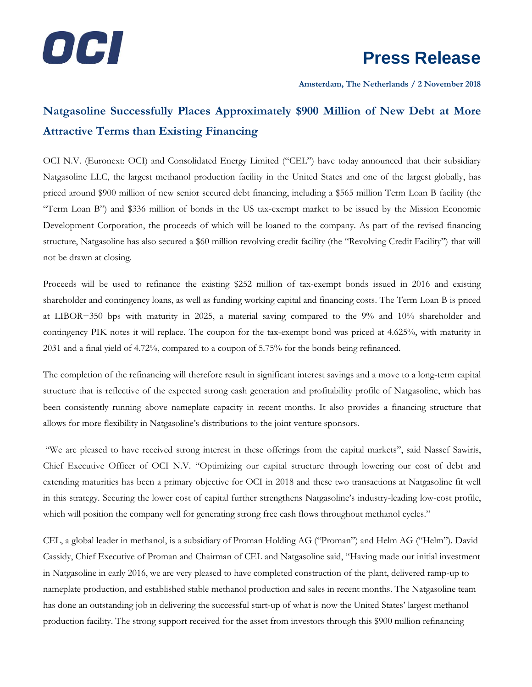

**Amsterdam, The Netherlands / 2 November 2018**

## **Natgasoline Successfully Places Approximately \$900 Million of New Debt at More Attractive Terms than Existing Financing**

OCI N.V. (Euronext: OCI) and Consolidated Energy Limited ("CEL") have today announced that their subsidiary Natgasoline LLC, the largest methanol production facility in the United States and one of the largest globally, has priced around \$900 million of new senior secured debt financing, including a \$565 million Term Loan B facility (the "Term Loan B") and \$336 million of bonds in the US tax-exempt market to be issued by the Mission Economic Development Corporation, the proceeds of which will be loaned to the company. As part of the revised financing structure, Natgasoline has also secured a \$60 million revolving credit facility (the "Revolving Credit Facility") that will not be drawn at closing.

Proceeds will be used to refinance the existing \$252 million of tax-exempt bonds issued in 2016 and existing shareholder and contingency loans, as well as funding working capital and financing costs. The Term Loan B is priced at LIBOR+350 bps with maturity in 2025, a material saving compared to the 9% and 10% shareholder and contingency PIK notes it will replace. The coupon for the tax-exempt bond was priced at 4.625%, with maturity in 2031 and a final yield of 4.72%, compared to a coupon of 5.75% for the bonds being refinanced.

The completion of the refinancing will therefore result in significant interest savings and a move to a long-term capital structure that is reflective of the expected strong cash generation and profitability profile of Natgasoline, which has been consistently running above nameplate capacity in recent months. It also provides a financing structure that allows for more flexibility in Natgasoline's distributions to the joint venture sponsors.

"We are pleased to have received strong interest in these offerings from the capital markets", said Nassef Sawiris, Chief Executive Officer of OCI N.V. "Optimizing our capital structure through lowering our cost of debt and extending maturities has been a primary objective for OCI in 2018 and these two transactions at Natgasoline fit well in this strategy. Securing the lower cost of capital further strengthens Natgasoline's industry-leading low-cost profile, which will position the company well for generating strong free cash flows throughout methanol cycles."

CEL, a global leader in methanol, is a subsidiary of Proman Holding AG ("Proman") and Helm AG ("Helm"). David Cassidy, Chief Executive of Proman and Chairman of CEL and Natgasoline said, "Having made our initial investment in Natgasoline in early 2016, we are very pleased to have completed construction of the plant, delivered ramp-up to nameplate production, and established stable methanol production and sales in recent months. The Natgasoline team has done an outstanding job in delivering the successful start-up of what is now the United States' largest methanol production facility. The strong support received for the asset from investors through this \$900 million refinancing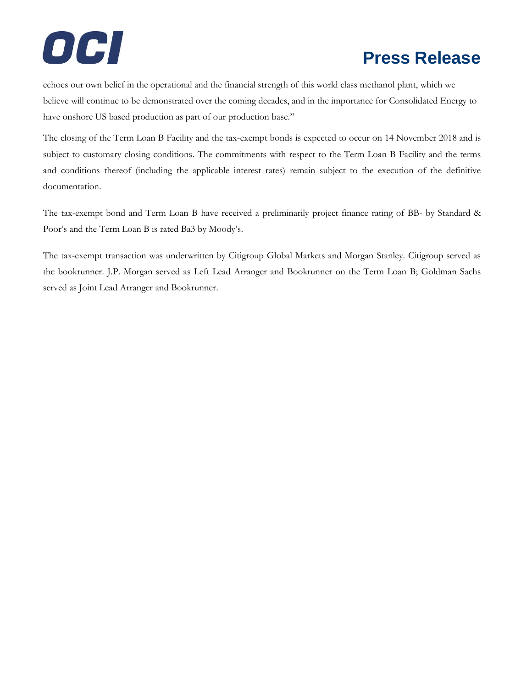# **Press Release**

echoes our own belief in the operational and the financial strength of this world class methanol plant, which we believe will continue to be demonstrated over the coming decades, and in the importance for Consolidated Energy to have onshore US based production as part of our production base."

The closing of the Term Loan B Facility and the tax-exempt bonds is expected to occur on 14 November 2018 and is subject to customary closing conditions. The commitments with respect to the Term Loan B Facility and the terms and conditions thereof (including the applicable interest rates) remain subject to the execution of the definitive documentation.

The tax-exempt bond and Term Loan B have received a preliminarily project finance rating of BB- by Standard & Poor's and the Term Loan B is rated Ba3 by Moody's.

The tax-exempt transaction was underwritten by Citigroup Global Markets and Morgan Stanley. Citigroup served as the bookrunner. J.P. Morgan served as Left Lead Arranger and Bookrunner on the Term Loan B; Goldman Sachs served as Joint Lead Arranger and Bookrunner.